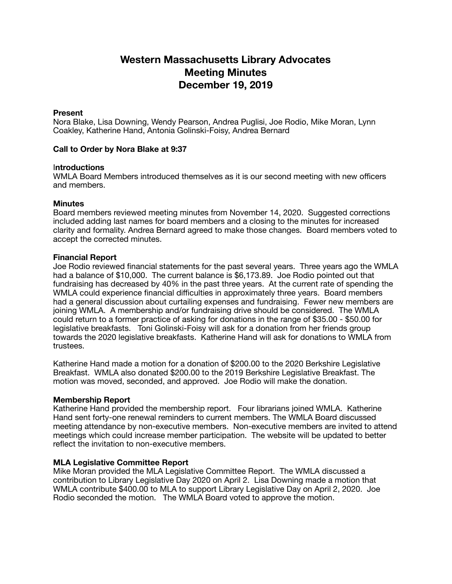# **Western Massachusetts Library Advocates Meeting Minutes December 19, 2019**

#### **Present**

Nora Blake, Lisa Downing, Wendy Pearson, Andrea Puglisi, Joe Rodio, Mike Moran, Lynn Coakley, Katherine Hand, Antonia Golinski-Foisy, Andrea Bernard

## **Call to Order by Nora Blake at 9:37**

## I**ntroductions**

WMLA Board Members introduced themselves as it is our second meeting with new officers and members.

## **Minutes**

Board members reviewed meeting minutes from November 14, 2020. Suggested corrections included adding last names for board members and a closing to the minutes for increased clarity and formality. Andrea Bernard agreed to make those changes. Board members voted to accept the corrected minutes.

## **Financial Report**

Joe Rodio reviewed financial statements for the past several years. Three years ago the WMLA had a balance of \$10,000. The current balance is \$6,173.89. Joe Rodio pointed out that fundraising has decreased by 40% in the past three years. At the current rate of spending the WMLA could experience financial difficulties in approximately three years. Board members had a general discussion about curtailing expenses and fundraising. Fewer new members are joining WMLA. A membership and/or fundraising drive should be considered. The WMLA could return to a former practice of asking for donations in the range of \$35.00 - \$50.00 for legislative breakfasts. Toni Golinski-Foisy will ask for a donation from her friends group towards the 2020 legislative breakfasts. Katherine Hand will ask for donations to WMLA from trustees.

Katherine Hand made a motion for a donation of \$200.00 to the 2020 Berkshire Legislative Breakfast. WMLA also donated \$200.00 to the 2019 Berkshire Legislative Breakfast. The motion was moved, seconded, and approved. Joe Rodio will make the donation.

## **Membership Report**

Katherine Hand provided the membership report. Four librarians joined WMLA. Katherine Hand sent forty-one renewal reminders to current members. The WMLA Board discussed meeting attendance by non-executive members. Non-executive members are invited to attend meetings which could increase member participation. The website will be updated to better reflect the invitation to non-executive members.

## **MLA Legislative Committee Report**

Mike Moran provided the MLA Legislative Committee Report. The WMLA discussed a contribution to Library Legislative Day 2020 on April 2. Lisa Downing made a motion that WMLA contribute \$400.00 to MLA to support Library Legislative Day on April 2, 2020. Joe Rodio seconded the motion. The WMLA Board voted to approve the motion.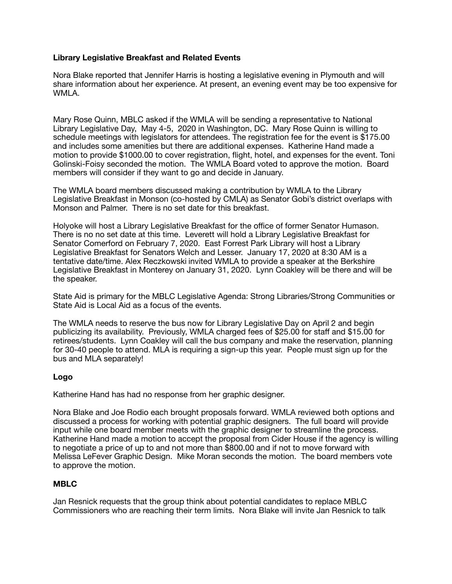## **Library Legislative Breakfast and Related Events**

Nora Blake reported that Jennifer Harris is hosting a legislative evening in Plymouth and will share information about her experience. At present, an evening event may be too expensive for WMLA.

Mary Rose Quinn, MBLC asked if the WMLA will be sending a representative to National Library Legislative Day, May 4-5, 2020 in Washington, DC. Mary Rose Quinn is willing to schedule meetings with legislators for attendees. The registration fee for the event is \$175.00 and includes some amenities but there are additional expenses. Katherine Hand made a motion to provide \$1000.00 to cover registration, flight, hotel, and expenses for the event. Toni Golinski-Foisy seconded the motion. The WMLA Board voted to approve the motion. Board members will consider if they want to go and decide in January.

The WMLA board members discussed making a contribution by WMLA to the Library Legislative Breakfast in Monson (co-hosted by CMLA) as Senator Gobi's district overlaps with Monson and Palmer. There is no set date for this breakfast.

Holyoke will host a Library Legislative Breakfast for the office of former Senator Humason. There is no no set date at this time. Leverett will hold a Library Legislative Breakfast for Senator Comerford on February 7, 2020. East Forrest Park Library will host a Library Legislative Breakfast for Senators Welch and Lesser. January 17, 2020 at 8:30 AM is a tentative date/time. Alex Reczkowski invited WMLA to provide a speaker at the Berkshire Legislative Breakfast in Monterey on January 31, 2020. Lynn Coakley will be there and will be the speaker.

State Aid is primary for the MBLC Legislative Agenda: Strong Libraries/Strong Communities or State Aid is Local Aid as a focus of the events.

The WMLA needs to reserve the bus now for Library Legislative Day on April 2 and begin publicizing its availability. Previously, WMLA charged fees of \$25.00 for staff and \$15.00 for retirees/students. Lynn Coakley will call the bus company and make the reservation, planning for 30-40 people to attend. MLA is requiring a sign-up this year. People must sign up for the bus and MLA separately!

## **Logo**

Katherine Hand has had no response from her graphic designer.

Nora Blake and Joe Rodio each brought proposals forward. WMLA reviewed both options and discussed a process for working with potential graphic designers. The full board will provide input while one board member meets with the graphic designer to streamline the process. Katherine Hand made a motion to accept the proposal from Cider House if the agency is willing to negotiate a price of up to and not more than \$800.00 and if not to move forward with Melissa LeFever Graphic Design. Mike Moran seconds the motion. The board members vote to approve the motion.

## **MBLC**

Jan Resnick requests that the group think about potential candidates to replace MBLC Commissioners who are reaching their term limits. Nora Blake will invite Jan Resnick to talk